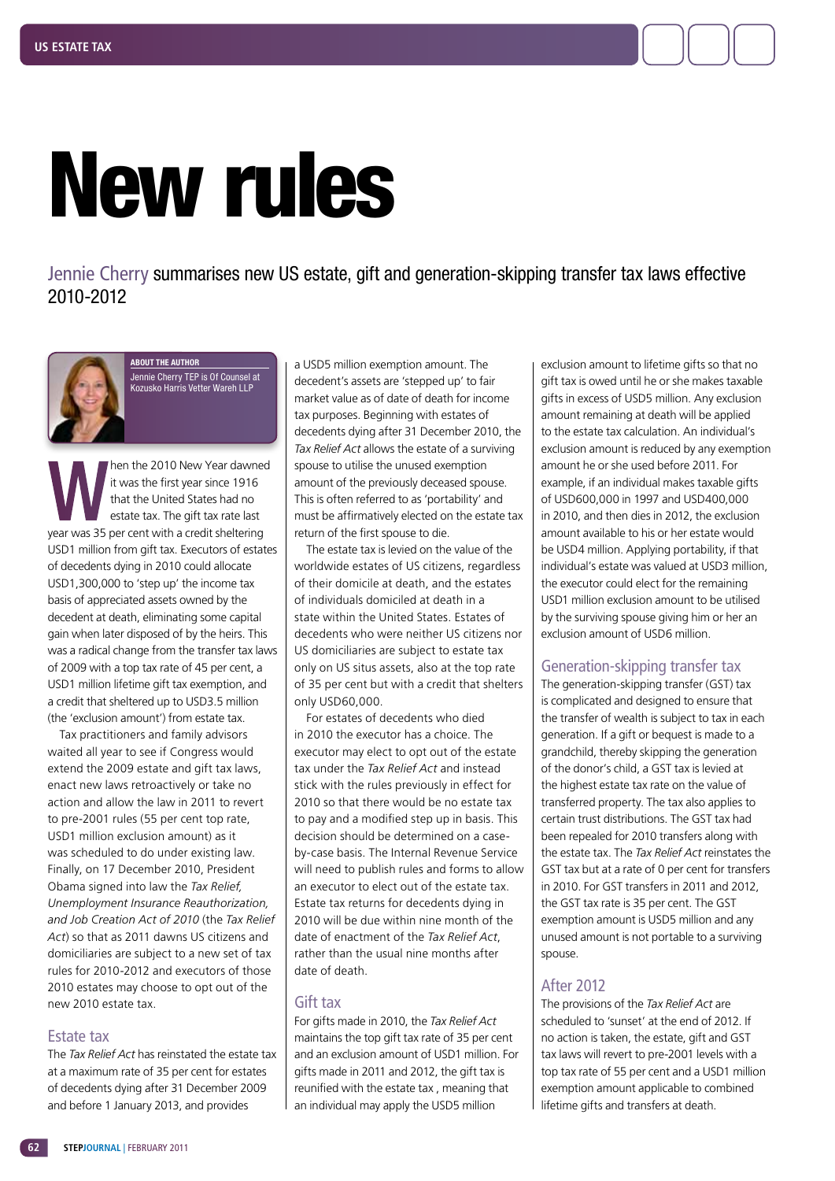

Jennie Cherry summarises new US estate, gift and generation-skipping transfer tax laws effective 2010-2012



**ABOUT THE AUTHOR** Jennie Cherry TEP is Of Counsel at Kozusko Harris Vetter Wareh LLP

When the 2010 New Year dawned<br>it was the first year since 1916<br>that the United States had no<br>estate tax. The gift tax rate last<br>year was 35 per cent with a credit sheltering it was the first year since 1916 that the United States had no estate tax. The gift tax rate last year was 35 per cent with a credit sheltering USD1 million from gift tax. Executors of estates of decedents dying in 2010 could allocate USD1,300,000 to 'step up' the income tax basis of appreciated assets owned by the decedent at death, eliminating some capital gain when later disposed of by the heirs. This was a radical change from the transfer tax laws of 2009 with a top tax rate of 45 per cent, a USD1 million lifetime gift tax exemption, and a credit that sheltered up to USD3.5 million (the 'exclusion amount') from estate tax.

Tax practitioners and family advisors waited all year to see if Congress would extend the 2009 estate and gift tax laws, enact new laws retroactively or take no action and allow the law in 2011 to revert to pre-2001 rules (55 per cent top rate, USD1 million exclusion amount) as it was scheduled to do under existing law. Finally, on 17 December 2010, President Obama signed into law the *Tax Relief, Unemployment Insurance Reauthorization, and Job Creation Act of 2010* (the *Tax Relief Act*) so that as 2011 dawns US citizens and domiciliaries are subject to a new set of tax rules for 2010-2012 and executors of those 2010 estates may choose to opt out of the new 2010 estate tax.

### Estate tax

The *Tax Relief Act* has reinstated the estate tax at a maximum rate of 35 per cent for estates of decedents dying after 31 December 2009 and before 1 January 2013, and provides

a USD5 million exemption amount. The decedent's assets are 'stepped up' to fair market value as of date of death for income tax purposes. Beginning with estates of decedents dying after 31 December 2010, the *Tax Relief Act* allows the estate of a surviving spouse to utilise the unused exemption amount of the previously deceased spouse. This is often referred to as 'portability' and must be affirmatively elected on the estate tax return of the first spouse to die.

The estate tax is levied on the value of the worldwide estates of US citizens, regardless of their domicile at death, and the estates of individuals domiciled at death in a state within the United States. Estates of decedents who were neither US citizens nor US domiciliaries are subject to estate tax only on US situs assets, also at the top rate of 35 per cent but with a credit that shelters only USD60,000.

For estates of decedents who died in 2010 the executor has a choice. The executor may elect to opt out of the estate tax under the *Tax Relief Act* and instead stick with the rules previously in effect for 2010 so that there would be no estate tax to pay and a modified step up in basis. This decision should be determined on a caseby-case basis. The Internal Revenue Service will need to publish rules and forms to allow an executor to elect out of the estate tax. Estate tax returns for decedents dying in 2010 will be due within nine month of the date of enactment of the *Tax Relief Act*, rather than the usual nine months after date of death.

#### Gift tax

For gifts made in 2010, the *Tax Relief Act*  maintains the top gift tax rate of 35 per cent and an exclusion amount of USD1 million. For gifts made in 2011 and 2012, the gift tax is reunified with the estate tax , meaning that an individual may apply the USD5 million

exclusion amount to lifetime gifts so that no gift tax is owed until he or she makes taxable gifts in excess of USD5 million. Any exclusion amount remaining at death will be applied to the estate tax calculation. An individual's exclusion amount is reduced by any exemption amount he or she used before 2011. For example, if an individual makes taxable gifts of USD600,000 in 1997 and USD400,000 in 2010, and then dies in 2012, the exclusion amount available to his or her estate would be USD4 million. Applying portability, if that individual's estate was valued at USD3 million, the executor could elect for the remaining USD1 million exclusion amount to be utilised by the surviving spouse giving him or her an exclusion amount of USD6 million.

## Generation-skipping transfer tax

The generation-skipping transfer (GST) tax is complicated and designed to ensure that the transfer of wealth is subject to tax in each generation. If a gift or bequest is made to a grandchild, thereby skipping the generation of the donor's child, a GST tax is levied at the highest estate tax rate on the value of transferred property. The tax also applies to certain trust distributions. The GST tax had been repealed for 2010 transfers along with the estate tax. The *Tax Relief Act* reinstates the GST tax but at a rate of 0 per cent for transfers in 2010. For GST transfers in 2011 and 2012, the GST tax rate is 35 per cent. The GST exemption amount is USD5 million and any unused amount is not portable to a surviving spouse.

# After 2012

The provisions of the *Tax Relief Act* are scheduled to 'sunset' at the end of 2012. If no action is taken, the estate, gift and GST tax laws will revert to pre-2001 levels with a top tax rate of 55 per cent and a USD1 million exemption amount applicable to combined lifetime gifts and transfers at death.